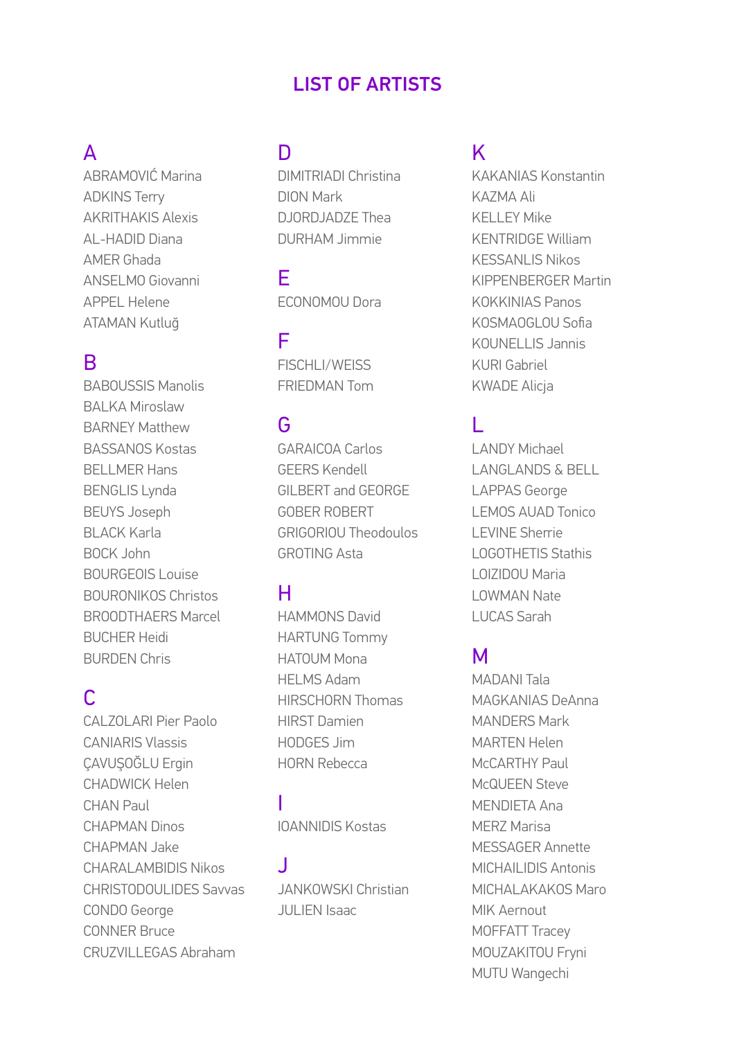#### **LIST OF ARTISTS**

## $\mathsf{A}$

ABRAMOVIĆ Marina **ADKINS Terry AKRITHAKIS Alexis** AL-HADID Diana AMFR Ghada ANSEL MO Giovanni **APPEL Helene ATAMAN Kutluğ** 

#### B

**BABOUSSIS Manolis BAI KA Miroslaw BARNEY Matthew BASSANOS Kostas BELLMER Hans BENGLIS Lynda BEUYS Joseph BLACK Karla BOCK John BOURGEOIS Louise BOURONIKOS Christos BROODTHAFRS Marcel BUCHER Heidi BURDEN Chris** 

# $\mathsf{C}$

CALZOLARI Pier Paolo **CANIARIS Vlassis** CAVUSOĞLU Erain **CHADWICK Helen** CHAN Paul **CHAPMAN Dinos** CHAPMAN Jake **CHARALAMBIDIS Nikos CHRISTODOULIDES Savvas CONDO George CONNER Bruce** CRUZVILLEGAS Abraham

## $\overline{D}$

**DIMITRIADI Christina DION Mark** DJORDJADZE Thea **DURHAM Jimmie** 

F FCONOMOU Dora

F FISCHLI/WEISS **FRIFDMAN Tom** 

## G

**GARAICOA Carlos GFFRS Kendell** GILBERT and GEORGE **GOBER ROBERT GRIGORIOU Theodoulos GROTING Asta** 

## н

**HAMMONS David HARTUNG Tommy** HATOUM Mona HFI MS Adam **HIRSCHORN Thomas HIRST Damien** HODGES Jim **HORN Rebecca** 

**IOANNIDIS Kostas** 

J **JANKOWSKI Christian** JULIEN Isaac

## K

**KAKANIAS Konstantin KAZMA Ali KELLEY Mike KENTRIDGE William KESSANLIS Nikos KIPPFNBFRGFR Martin KOKKINIAS Panos** KOSMAOGLOU Sofia KOUNELLIS Jannis KURI Gabriel **KWADE Alicia** 

# T.

**LANDY Michael LANGLANDS & BELL LAPPAS George LEMOS AUAD Tonico LEVINE Sherrie LOGOTHETIS Stathis** LOIZIDOU Maria **I OWMAN Nate LUCAS Sarah** 

#### M

**MADANI Tala** MAGKANIAS DeAnna **MANDERS Mark MARTFN Helen** McCARTHY Paul McQUEEN Steve MENDIFTA Ana **MERZ Marisa** MFSSAGFR Annette **MICHAILIDIS Antonis** MICHALAKAKOS Maro MIK Aernout MOFFATT Tracev MOUZAKITOU Fryni MUTU Wangechi